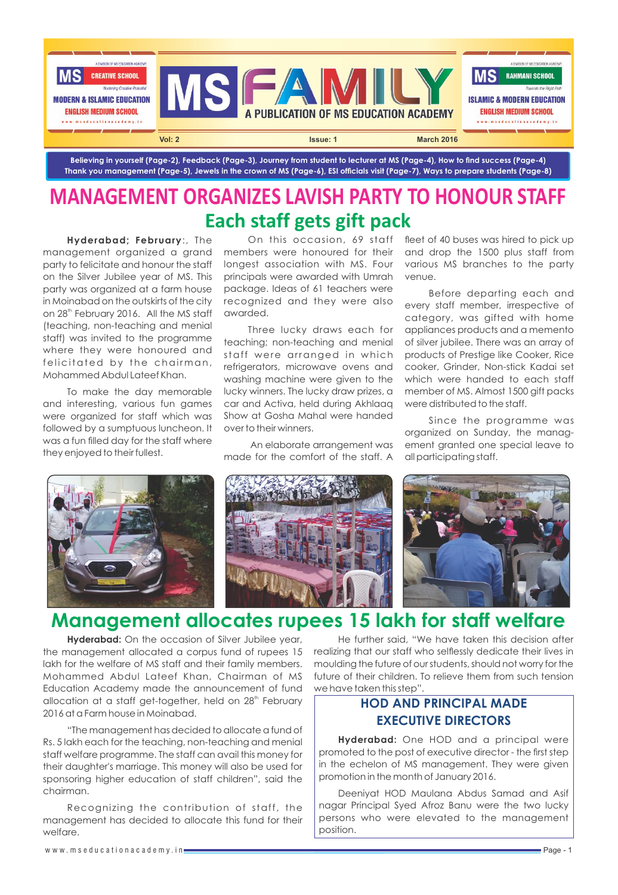

Believing in yourself (Page-2), Feedback (Page-3), Journey from student to lecturer at MS (Page-4), How to find success (Page-4) Thank you management (Page-5), Jewels in the crown of MS (Page-6), ESI officials visit (Page-7), Ways to prepare students (Page-8)

## **Each staff gets gift pack MANAGEMENT ORGANIZES LAVISH PARTY TO HONOUR STAFF**

**Hyderabad; February**:, The management organized a grand party to felicitate and honour the staff on the Silver Jubilee year of MS. This party was organized at a farm house in Moinabad on the outskirts of the city on 28<sup>th</sup> February 2016. All the MS staff (teaching, non-teaching and menial staff) was invited to the programme where they were honoured and felicitated by the chairman, Mohammed Abdul Lateef Khan.

To make the day memorable and interesting, various fun games were organized for staff which was followed by a sumptuous luncheon. It was a fun filled day for the staff where they enjoyed to their fullest.

On this occasion, 69 staff members were honoured for their longest association with MS. Four principals were awarded with Umrah package. Ideas of 61 teachers were recognized and they were also awarded.

Three lucky draws each for teaching; non-teaching and menial staff were arranged in which refrigerators, microwave ovens and washing machine were given to the lucky winners. The lucky draw prizes, a car and Activa, held during Akhlaaq Show at Gosha Mahal were handed over to their winners.

An elaborate arrangement was made for the comfort of the staff. A

fleet of 40 buses was hired to pick up and drop the 1500 plus staff from various MS branches to the party venue.

Before departing each and every staff member, irrespective of category, was gifted with home appliances products and a memento of silver jubilee. There was an array of products of Prestige like Cooker, Rice cooker, Grinder, Non-stick Kadai set which were handed to each staff member of MS. Almost 1500 gift packs were distributed to the staff.

Since the programme was organized on Sunday, the management granted one special leave to all participating staff.



## **Management allocates rupees 15 lakh for staff welfare**

**Hyderabad:** On the occasion of Silver Jubilee year, the management allocated a corpus fund of rupees 15 lakh for the welfare of MS staff and their family members. Mohammed Abdul Lateef Khan, Chairman of MS Education Academy made the announcement of fund allocation at a staff get-together, held on 28<sup>th</sup> February 2016 at a Farm house in Moinabad.

"The management has decided to allocate a fund of Rs. 5 lakh each for the teaching, non-teaching and menial staff welfare programme. The staff can avail this money for their daughter's marriage. This money will also be used for sponsoring higher education of staff children", said the chairman.

Recognizing the contribution of staff, the management has decided to allocate this fund for their welfare.

He further said, "We have taken this decision after realizing that our staff who selflessly dedicate their lives in moulding the future of our students, should not worry for the future of their children. To relieve them from such tension we have taken this step".

### **HOD AND PRINCIPAL MADE EXECUTIVE DIRECTORS**

**Hyderabad:** One HOD and a principal were promoted to the post of executive director - the first step in the echelon of MS management. They were given promotion in the month of January 2016.

Deeniyat HOD Maulana Abdus Samad and Asif nagar Principal Syed Afroz Banu were the two lucky persons who were elevated to the management position.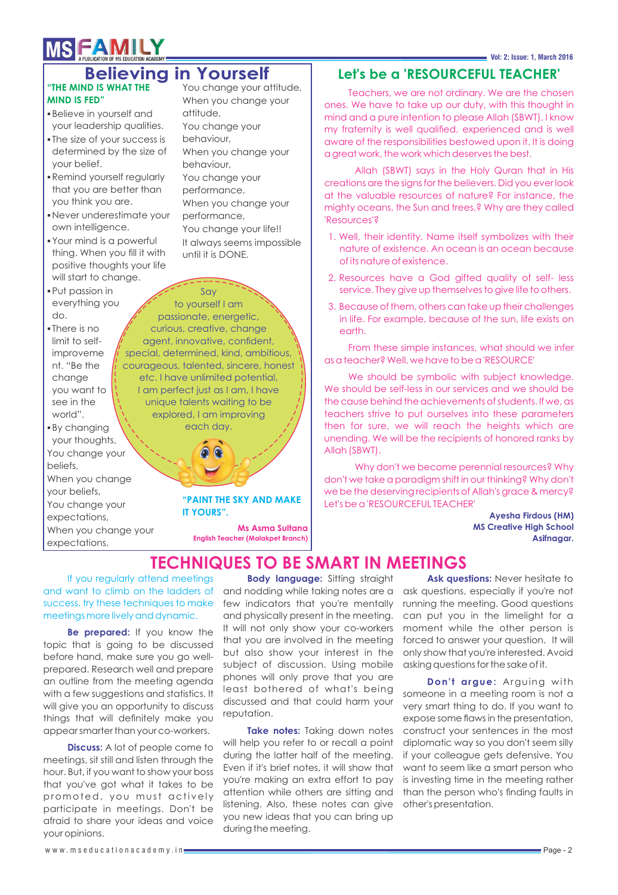# **MSFAMILY**

### You change your attitude, **Believing in Yourself**

#### **"THE MIND IS WHAT THE MIND IS FED"**

- Believe in yourself and your leadership qualities.
- The size of your success is determined by the size of your belief.
- Remind yourself regularly that you are better than you think you are.
- Never underestimate your own intelligence.
- Your mind is a powerful thing. When you fill it with positive thoughts your life will start to change.
- Put passion in everything you do.
- There is no limit to selfimproveme nt. "Be the change you want to see in the world".

By changing your thoughts, You change your beliefs, When you change your beliefs, You change your expectations, When you change your expectations,

When you change your attitude, You change your behaviour, When you change your behaviour, You change your performance, When you change your performance, You change your life!! It always seems impossible until it is DONE.

Say to yourself I am passionate, energetic, curious, creative, change agent, innovative, confident, special, determined, kind, ambitious, courageous, talented, sincere, honest etc. I have unlimited potential, I am perfect just as I am, I have unique talents waiting to be explored, I am improving each day.

**"PAINT THE SKY AND MAKE** 

**IT YOURS".**

**Ms Asma Sultana English Teacher (Malakpet Branch)**

## **Let's be a 'RESOURCEFUL TEACHER'**

Teachers, we are not ordinary. We are the chosen ones. We have to take up our duty, with this thought in mind and a pure intention to please Allah (SBWT). I know my fraternity is well qualified, experienced and is well aware of the responsibilities bestowed upon it. It is doing a great work, the work which deserves the best.

Allah (SBWT) says in the Holy Quran that in His creations are the signs for the believers. Did you ever look at the valuable resources of nature? For instance, the mighty oceans, the Sun and trees,? Why are they called 'Resources'?

- 1. Well, their identity. Name itself symbolizes with their nature of existence. An ocean is an ocean because of its nature of existence.
- 2. Resources have a God gifted quality of self- less service. They give up themselves to give life to others.
- 3. Because of them, others can take up their challenges in life. For example, because of the sun, life exists on earth.

From these simple instances, what should we infer as a teacher? Well, we have to be a 'RESOURCE'

We should be symbolic with subject knowledge. We should be self-less in our services and we should be the cause behind the achievements of students. If we, as teachers strive to put ourselves into these parameters then for sure, we will reach the heights which are unending. We will be the recipients of honored ranks by Allah (SBWT).

Why don't we become perennial resources? Why don't we take a paradigm shift in our thinking? Why don't we be the deserving recipients of Allah's grace & mercy? Let's be a 'RESOURCEFUL TEACHER'

> **Ayesha Firdous (HM) MS Creative High School Asifnagar.**

## **TECHNIQUES TO BE SMART IN MEETINGS**

If you regularly attend meetings and want to climb on the ladders of success, try these techniques to make meetings more lively and dynamic.

**Be prepared:** If you know the topic that is going to be discussed before hand, make sure you go wellprepared. Research well and prepare an outline from the meeting agenda with a few suggestions and statistics. It will give you an opportunity to discuss things that will definitely make you appear smarter than your co-workers.

**Discuss:** A lot of people come to meetings, sit still and listen through the hour. But, if you want to show your boss that you've got what it takes to be promoted, you must actively participate in meetings. Don't be afraid to share your ideas and voice your opinions.

**Body language:** Sitting straight and nodding while taking notes are a few indicators that you're mentally and physically present in the meeting. It will not only show your co-workers that you are involved in the meeting but also show your interest in the subject of discussion. Using mobile phones will only prove that you are least bothered of what's being discussed and that could harm your reputation.

**Take notes:** Taking down notes will help you refer to or recall a point during the latter half of the meeting. Even if it's brief notes, it will show that you're making an extra effort to pay attention while others are sitting and listening. Also, these notes can give you new ideas that you can bring up during the meeting.

Ask questions: Never hesitate to ask questions, especially if you're not running the meeting. Good questions can put you in the limelight for a moment while the other person is forced to answer your question. It will only show that you're interested. Avoid asking questions for the sake of it.

**Don't argue:** Arguing with someone in a meeting room is not a very smart thing to do. If you want to expose some flaws in the presentation, construct your sentences in the most diplomatic way so you don't seem silly if your colleague gets defensive. You want to seem like a smart person who is investing time in the meeting rather than the person who's finding faults in other's presentation.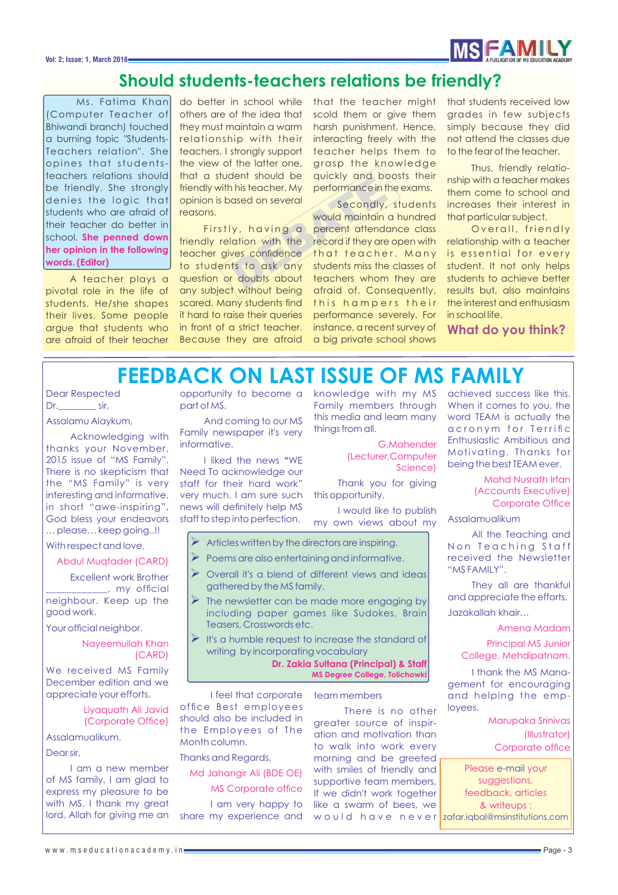#### **Vol: 2; Issue: 1, March 2016**



## **Should students-teachers relations be friendly?**

Ms. Fatima Khan (Computer Teacher of Bhiwandi branch) touched a burning topic "Students-Teachers relation". She opines that studentsteachers relations should be friendly. She strongly denies the logic that students who are afraid of their teacher do better in school. **She penned down her opinion in the following words. (Editor)**

A teacher plays a pivotal role in the life of students. He/she shapes their lives. Some people argue that students who are afraid of their teacher do better in school while others are of the idea that they must maintain a warm relationship with their teachers. I strongly support the view of the latter one, that a student should be friendly with his teacher. My opinion is based on several reasons.

Firstly, having a friendly relation with the teacher gives confidence to students to ask any question or doubts about any subject without being scared. Many students find it hard to raise their queries in front of a strict teacher. Because they are afraid

that the teacher might scold them or give them harsh punishment. Hence, interacting freely with the teacher helps them to grasp the knowledge quickly and boosts their performance in the exams.

This teacher. My performance in the distribution of the secondly, and be distributed by the secondly, and the secondly, and the second maintain a very students of the second of the second is the second of the second in the Secondly, students would maintain a hundred percent attendance class record if they are open with that teacher. Many students miss the classes of teachers whom they are afraid of. Consequently, this hampers their performance severely. For instance, a recent survey of a big private school shows

that students received low grades in few subjects simply because they did not attend the classes due to the fear of the teacher.

Thus, friendly relationship with a teacher makes them come to school and increases their interest in that particular subject.

Overall, friendly relationship with a teacher is essential for every student. It not only helps students to achieve better results but, also maintains the interest and enthusiasm in school life.

**What do you think?** 

# **FEEDBACK ON LAST ISSUE OF MS FAMILY**

Dear Respected Dr. sir,

Assalamu Alaykum,

Acknowledging with thanks your November, 2015 issue of "MS Family". There is no skepticism that the "MS Family" is very interesting and informative, in short "awe-inspiring"**.**  God bless your endeavors … please… keep going..!!

With respect and love,

Abdul Muqtader (CARD)

Excellent work Brother  $\ldots$ , my official neighbour. Keep up the good work.

Your official neighbor.

Nayeemullah Khan (CARD)

We received MS Family December edition and we appreciate your efforts.

> Liyaquath Ali Javid (Corporate Office)

Assalamualikum.

Dear sir,

I am a new member of MS family, I am glad to express my pleasure to be with MS. I thank my great lord, Allah for giving me an part of MS.

And coming to our MS Family newspaper it's very informative.

I liked the news **"**WE Need To acknowledge our staff for their hard work" very much. I am sure such news will definitely help MS staff to step into perfection.

opportunity to become a knowledge with my MS Family members through this media and learn many things from all.

> G.Mahender (Lecturer,Computer Science)

Thank you for giving this opportunity.

I would like to publish my own views about my

- $\triangleright$  Articles written by the directors are inspiring.
- Poems are also entertaining and informative.
- Overall it's a blend of different views and ideas gathered by the MS family.
- The newsletter can be made more engaging by including paper games like Sudokes, Brain Teasers, Crosswords etc.
- $\triangleright$  It's a humble request to increase the standard of writing by incorporating vocabulary

**Dr. Zakia Sultana (Principal) & Staff MS Degree College, Tolichowki** 

I feel that corporate office Best employees should also be included in the Employees of The Month column.

Thanks and Regards,

Md Jahangir Ali (BDE OE) MS Corporate office I am very happy to share my experience and

team members

There is no other greater source of inspiration and motivation than to walk into work every morning and be greeted with smiles of friendly and supportive team members, If we didn't work together like a swarm of bees, we would have never<mark>lzafar.iqbal@msinstitutions.com</mark>

achieved success like this. When it comes to you, the word TEAM is actually the a cronym for Terrific Enthusiastic Ambitious and Motivating. Thanks for being the best TEAM ever.

> Mohd Nusrath Irfan (Accounts Executive) Corporate Office

Assalamualikum

All the Teaching and Non Teaching Staff received the Newsletter "MS FAMILY".

They all are thankful and appreciate the efforts. Jazakallah khair…

Amena Madam

Principal MS Junior College, Mehdipatnam.

I thank the MS Management for encouraging and helping the employees.

> Marupaka Srinivas (Illustrator) Corporate office

Please e-mail your suggestions, feedback, articles & writeups :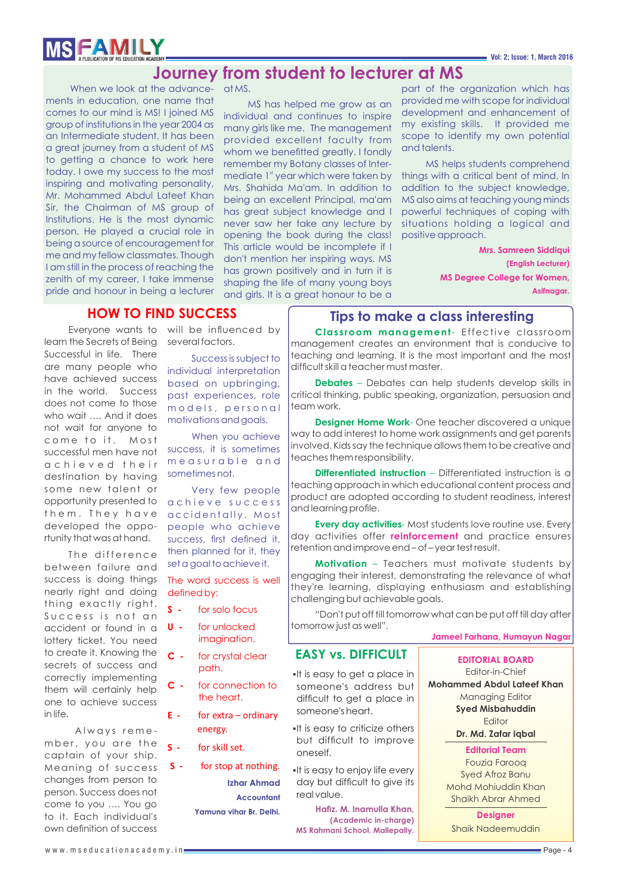# **MSFAMILY**

## **Journey from student to lecturer at MS**

When we look at the advance-at MS. ments in education, one name that comes to our mind is MS! I joined MS group of institutions in the year 2004 as an Intermediate student. It has been a great journey from a student of MS to getting a chance to work here today. I owe my success to the most inspiring and motivating personality, Mr. Mohammed Abdul Lateef Khan Sir, the Chairman of MS group of Institutions. He is the most dynamic person. He played a crucial role in being a source of encouragement for me and my fellow classmates. Though I am still in the process of reaching the zenith of my career, I take immense pride and honour in being a lecturer

MS has helped me grow as an individual and continues to inspire many girls like me. The management provided excellent faculty from whom we benefitted greatly. I fondly remember my Botany classes of Intermediate 1<sup>st</sup> year which were taken by Mrs. Shahida Ma'am. In addition to being an excellent Principal, ma'am has great subject knowledge and I never saw her take any lecture by opening the book during the class! This article would be incomplete if I don't mention her inspiring ways. MS has grown positively and in turn it is shaping the life of many young boys and girls. It is a great honour to be a

part of the organization which has provided me with scope for individual development and enhancement of my existing skills. It provided me scope to identify my own potential and talents.

MS helps students comprehend things with a critical bent of mind. In addition to the subject knowledge, MS also aims at teaching young minds powerful techniques of coping with situations holding a logical and positive approach.

> **Mrs. Samreen Siddiqui (English Lecturer) MS Degree College for Women, Asifnagar.**

### **HOW TO FIND SUCCESS**

learn the Secrets of Being Successful in life. There are many people who have achieved success in the world. Success does not come to those who wait …. And it does not wait for anyone to come to it. Most successful men have not a c h i e v e d their destination by having some new talent or opportunity presented to them. They have developed the opportunity that was at hand.

The difference between failure and success is doing things nearly right and doing thing exactly right. Success is not an accident or found in a lottery ticket. You need to create it. Knowing the secrets of success and correctly implementing them will certainly help one to achieve success in life.

Always remember, you are the captain of your ship. Meaning of success changes from person to person. Success does not come to you …. You go to it. Each individual's own definition of success

Everyone wants to will be influenced by several factors.

> Success is subject to individual interpretation based on upbringing, past experiences, role m o d e ls, personal motivations and goals.

When you achieve success, it is sometimes megsurable and sometimes not.

Very few people a chieve success accidentally. Most people who achieve success, first defined it, then planned for it, they set a goal to achieve it.

The word success is well defined by:

- **S -** for solo focus
- **U -** for unlocked imagination.
- **C -** for crystal clear path.
- **C -** for connection to the heart.
- **E -** for extra ordinary energy.
- **S -** for skill set.
- **S -** for stop at nothing. **Izhar Ahmad Accountant Yamuna vihar Br. Delhi.**

**Clas s room management**- Effective classroom **Tips to make a class interesting**

management creates an environment that is conducive to teaching and learning. It is the most important and the most difficult skill a teacher must master.

**Debates** – Debates can help students develop skills in critical thinking, public speaking, organization, persuasion and team work.

**Designer Home Work**- One teacher discovered a unique way to add interest to home work assignments and get parents involved. Kids say the technique allows them to be creative and teaches them responsibility.

**Differentiated instruction** – Differentiated instruction is a teaching approach in which educational content process and product are adopted according to student readiness, interest and learning profile.

**Every day activities**- Most students love routine use. Every day activities offer **reinforcement** and practice ensures retention and improve end – of – year test result.

**Motivation** – Teachers must motivate students by engaging their interest, demonstrating the relevance of what they're learning, displaying enthusiasm and establishing challenging but achievable goals.

"Don't put off till tomorrow what can be put off till day after tomorrow just as well".

#### **EASY vs. DIFFICULT**

- It is easy to get a place in someone's address but difficult to get a place in someone's heart.
- It is easy to criticize others but difficult to improve oneself.
- It is easy to enjoy life every day but difficult to give its real value.

**Haz. M. Inamulla Khan, (Academic in-charge) MS Rahmani School, Mallepally.**

**Jameel Farhana, Humayun Nagar**

**EDITORIAL BOARD** Editor-in-Chief

**Mohammed Abdul Lateef Khan** Managing Editor **Syed Misbahuddin Editor Dr. Md. Zafar Iqbal**

### **Editorial Team**

Fouzia Farooq Syed Afroz Banu Mohd Mohiuddin Khan Shaikh Abrar Ahmed

**Designer**  Shaik Nadeemuddin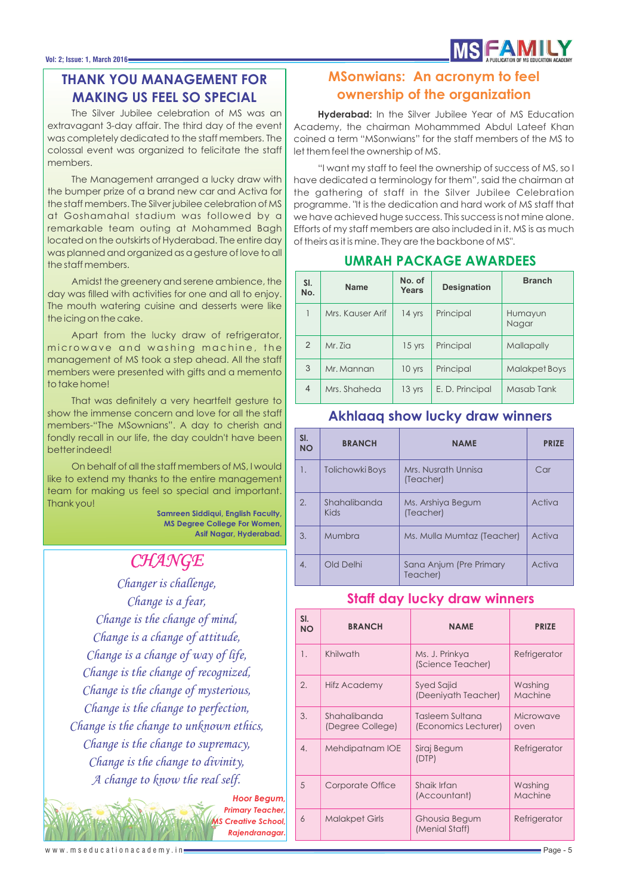### **THANK YOU MANAGEMENT FOR MAKING US FEEL SO SPECIAL**

The Silver Jubilee celebration of MS was an extravagant 3-day affair. The third day of the event was completely dedicated to the staff members. The colossal event was organized to felicitate the staff members.

The Management arranged a lucky draw with the bumper prize of a brand new car and Activa for the staff members. The Silver jubilee celebration of MS at Goshamahal stadium was followed by a remarkable team outing at Mohammed Bagh located on the outskirts of Hyderabad. The entire day was planned and organized as a gesture of love to all the staff members.

Amidst the greenery and serene ambience, the day was filled with activities for one and all to enjoy. The mouth watering cuisine and desserts were like the icing on the cake.

Apart from the lucky draw of refrigerator, microwave and washing machine, the management of MS took a step ahead. All the staff members were presented with gifts and a memento to take home!

That was definitely a very heartfelt gesture to show the immense concern and love for all the staff members-"The MSownians". A day to cherish and fondly recall in our life, the day couldn't have been better indeed!

On behalf of all the staff members of MS, I would like to extend my thanks to the entire management team for making us feel so special and important. Thank you!

**Samreen Siddiqui, English Faculty, MS Degree College For Women, Asif Nagar, Hyderabad.**

## *CHANGE*

*Changer is challenge, Change is a fear, Change is the change of mind, Change is a change of attitude, Change is a change of way of life, Change is the change of recognized, Change is the change of mysterious, Change is the change to perfection, Change is the change to unknown ethics, Change is the change to supremacy, Change is the change to divinity, A change to know the real self.*

> *Hoor Begum, Primary Teacher,* **Creative School** *Rajendranagar.*

## **MSonwians: An acronym to feel ownership of the organization**

**Hyderabad:** In the Silver Jubilee Year of MS Education Academy, the chairman Mohammmed Abdul Lateef Khan coined a term "MSonwians" for the staff members of the MS to let them feel the ownership of MS.

"I want my staff to feel the ownership of success of MS, so I have dedicated a terminology for them", said the chairman at the gathering of staff in the Silver Jubilee Celebration programme. "It is the dedication and hard work of MS staff that we have achieved huge success. This success is not mine alone. Efforts of my staff members are also included in it. MS is as much of theirs as it is mine. They are the backbone of MS".

| SI.<br>No. | <b>Name</b>      | No. of<br>Years | <b>Designation</b> | <b>Branch</b>        |
|------------|------------------|-----------------|--------------------|----------------------|
|            | Mrs. Kauser Arif | 14 yrs          | Principal          | Humayun<br>Nagar     |
| 2          | Mr. Zia          | 15 yrs          | Principal          | Mallapally           |
| 3          | Mr. Mannan       | 10 yrs          | Principal          | <b>Malakpet Boys</b> |
| 4          | Mrs. Shaheda     | 13 yrs          | E. D. Principal    | Masab Tank           |

#### **UMRAH PACKAGE AWARDEES**

| SI.<br><b>NO</b> | <b>BRANCH</b>               | <b>NAME</b>                         | <b>PRIZE</b> |
|------------------|-----------------------------|-------------------------------------|--------------|
| 1.               | Tolichowki Boys             | Mrs. Nusrath Unnisa<br>(Teacher)    | Car          |
| 2.               | Shahalibanda<br><b>Kids</b> | Ms. Arshiya Begum<br>(Teacher)      | Activa       |
| 3.               | Mumbra                      | Ms. Mulla Mumtaz (Teacher)          | Activa       |
| 4.               | Old Delhi                   | Sana Anjum (Pre Primary<br>Teacher) | Activa       |

**Akhlaaq show lucky draw winners**

## **Staff day lucky draw winners**

| SI.<br><b>NO</b>      | <b>BRANCH</b>                    | <b>NAME</b>                             | <b>PRIZE</b>       |
|-----------------------|----------------------------------|-----------------------------------------|--------------------|
| 1.                    | Khilwath                         | Ms. J. Prinkya<br>(Science Teacher)     | Refrigerator       |
| $\mathcal{D}_{\cdot}$ | Hifz Academy                     | Syed Sajid<br>(Deeniyath Teacher)       | Washing<br>Machine |
| 3.                    | Shahalibanda<br>(Degree College) | Tasleem Sultana<br>(Economics Lecturer) | Microwave<br>oven  |
| 4.                    | Mehdipatnam IOE                  | Siraj Begum<br>(DTP)                    | Refrigerator       |
| 5                     | Corporate Office                 | Shaik Irfan<br>(Accountant)             | Washing<br>Machine |
| 6                     | <b>Malakpet Girls</b>            | Ghousia Begum<br>(Menial Staff)         | Refrigerator       |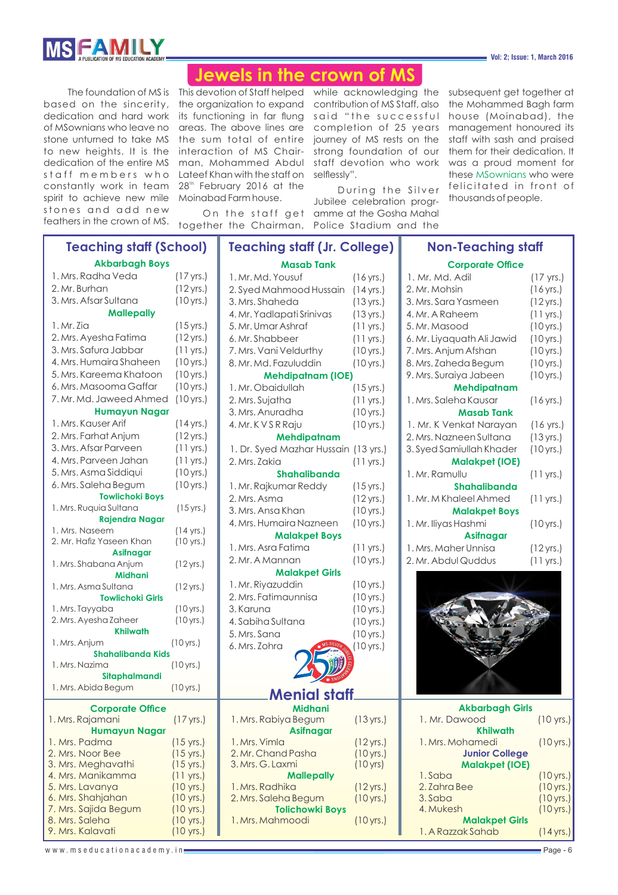

#### **Vol: 2; Issue: 1, March 2016**

## **Jewels in the crown of MS**

spirit to achieve new mile Moinabad Farm house. stones and add new

The foundation of MS is This devotion of Staff helped while acknowledging the subsequent get together at based on the sincerity, the organization to expand contribution of MS Staff, also the Mohammed Bagh farm dedication and hard work its functioning in far flung said "the successful house (Moinabad), the of MSownians who leave no areas. The above lines are completion of 25 years management honoured its stone unturned to take MS  $\,$  the sum <code>total</code> of entire  $\,$  journey of MS rests on the to new heights. It is the interaction of MS Chair- strong foundation of our them for their dedication. It dedication of the entire MS man, Mohammed Abdul staff devotion who work was a proud moment for staff members who LateefKhanwiththestaffon selflessly". constantly work in team  $28<sup>th</sup>$  February 2016 at the

feathers in the crown of MS. together the Chairman,

On the staff get amme at the Gosha Mahal During the Silver Jubilee celebration progr-Police Stadium and the

staff with sash and praised these MSownians who were felicitated in front of thousands of people.

| <b>Teaching staff (School)</b>               |                        | <b>Teaching staff (Jr. College)</b>            |                      | <b>Non-Teaching staff</b>  |                      |
|----------------------------------------------|------------------------|------------------------------------------------|----------------------|----------------------------|----------------------|
| <b>Akbarbagh Boys</b>                        |                        | <b>Masab Tank</b>                              |                      | <b>Corporate Office</b>    |                      |
| 1. Mrs. Radha Veda                           | $(17 \,\text{yrs.})$   | 1. Mr. Md. Yousuf                              | (16 yrs.)            | 1. Mr. Md. Adil            | $(17 \text{ yrs.})$  |
| 2. Mr. Burhan                                | $(12 \text{ yrs.})$    | 2. Syed Mahmood Hussain                        | (14 yrs.)            | 2. Mr. Mohsin              | (16 yrs.)            |
| 3. Mrs. Afsar Sultana                        | (10 yrs.)              | 3. Mrs. Shaheda                                | (13 yrs.)            | 3. Mrs. Sara Yasmeen       | $(12 \,\text{yrs.})$ |
| <b>Mallepally</b>                            |                        | 4. Mr. Yadlapati Srinivas                      | (13 yrs.)            | 4. Mr. A Raheem            | $(11 \text{ yrs.})$  |
| 1. Mr. Zia                                   | $(15 \,\text{yrs.})$   | 5. Mr. Umar Ashraf                             | $(11 \text{ yrs.})$  | 5. Mr. Masood              | (10 yrs.)            |
| 2. Mrs. Ayesha Fatima                        | $(12 \,\text{yrs.})$   | 6. Mr. Shabbeer                                | $(11 \text{ yrs.})$  | 6. Mr. Liyaquath Ali Jawid | (10 yrs.)            |
| 3. Mrs. Safura Jabbar                        | $(11 \text{ yrs.})$    | 7. Mrs. Vani Veldurthy                         | (10 yrs.)            | 7. Mrs. Anjum Afshan       | (10 yrs.)            |
| 4. Mrs. Humaira Shaheen                      | (10 yrs.)              | 8. Mr. Md. Fazuluddin                          | (10 yrs.)            | 8. Mrs. Zaheda Begum       | (10 yrs.)            |
| 5. Mrs. Kareema Khatoon                      | (10 yrs.)              | <b>Mehdipatnam (IOE)</b>                       |                      | 9. Mrs. Suraiya Jabeen     | (10 yrs.)            |
| 6. Mrs. Masooma Gaffar                       | (10 yrs.)              | 1. Mr. Obaidullah                              | $(15 \,\text{yrs.})$ | Mehdipatnam                |                      |
| 7. Mr. Md. Jaweed Ahmed                      | (10 yrs.)              | 2. Mrs. Sujatha                                | $(11 \text{ yrs.})$  | 1. Mrs. Saleha Kausar      | $(16 \,\text{yrs.})$ |
| <b>Humayun Nagar</b>                         |                        | 3. Mrs. Anuradha                               | (10 yrs.)            | <b>Masab Tank</b>          |                      |
| 1. Mrs. Kauser Arif                          | $(14 \text{ yrs.})$    | 4. Mr. K V S R Raju                            | (10 yrs.)            | 1. Mr. K Venkat Narayan    | (16 yrs.)            |
| 2. Mrs. Farhat Anjum                         | $(12 \,\text{yrs.})$   | Mehdipatnam                                    |                      | 2. Mrs. Nazneen Sultana    | (13 yrs.)            |
| 3. Mrs. Afsar Parveen                        | $(11 \text{ yrs.})$    | 1. Dr. Syed Mazhar Hussain (13 yrs.)           |                      | 3. Syed Samiullah Khader   | (10 yrs.)            |
| 4. Mrs. Parveen Jahan                        | $(11 \text{ yrs.})$    | 2. Mrs. Zakia                                  | $(11 \text{ yrs.})$  | <b>Malakpet (IOE)</b>      |                      |
| 5. Mrs. Asma Siddiqui                        | (10 yrs.)              | Shahalibanda                                   |                      | 1. Mr. Ramullu             | $(11 \text{ yrs.})$  |
| 6. Mrs. Saleha Begum                         | (10 yrs.)              | 1. Mr. Rajkumar Reddy                          | $(15 \,\text{yrs.})$ | <b>Shahalibanda</b>        |                      |
| <b>Towlichoki Boys</b>                       |                        | 2. Mrs. Asma                                   | $(12 \,\text{yrs.})$ | 1. Mr. M Khaleel Ahmed     | $(11 \text{ yrs.})$  |
| 1. Mrs. Ruquia Sultana                       | (15 yrs.)              | 3. Mrs. Ansa Khan                              | (10 yrs.)            | <b>Malakpet Boys</b>       |                      |
| <b>Rajendra Nagar</b>                        |                        | 4. Mrs. Humaira Nazneen                        | (10 yrs.)            | 1. Mr. Iliyas Hashmi       | (10 yrs.)            |
| 1. Mrs. Naseem                               | (14 yrs.)              | <b>Malakpet Boys</b>                           |                      | <b>Asifnagar</b>           |                      |
| 2. Mr. Hafiz Yaseen Khan<br><b>Asifnagar</b> | (10 yrs.)              | 1. Mrs. Asra Fatima                            | $(11 \text{ yrs.})$  | 1. Mrs. Maher Unnisa       | $(12 \,\text{yrs.})$ |
| 1. Mrs. Shabana Anjum                        | $(12 \text{ yrs.})$    | 2. Mr. A Mannan                                | (10 yrs.)            | 2. Mr. Abdul Quddus        | $(11 \text{ yrs.})$  |
| <b>Midhani</b>                               |                        | <b>Malakpet Girls</b>                          |                      |                            |                      |
| 1. Mrs. Asma Sultana                         | (12 yrs.)              | 1. Mr. Riyazuddin                              | (10 yrs.)            |                            |                      |
| <b>Towlichoki Girls</b>                      |                        | 2. Mrs. Fatimaunnisa                           | (10 yrs.)            |                            |                      |
| 1. Mrs. Tayyaba                              | (10 yrs.)              | 3. Karuna                                      | (10 yrs.)            |                            |                      |
| 2. Mrs. Ayesha Zaheer                        | (10 yrs.)              | 4. Sabiha Sultana                              | (10 yrs.)            |                            |                      |
| <b>Khilwath</b>                              |                        | 5. Mrs. Sana                                   | $(10 \,\text{yrs.})$ |                            |                      |
| 1. Mrs. Anjum                                | (10 yrs.)              | 6. Mrs. Zohra                                  | $10$ yrs.)           |                            |                      |
| <b>Shahalibanda Kids</b>                     |                        |                                                |                      |                            |                      |
| 1. Mrs. Nazima                               | (10 yrs.)              |                                                |                      |                            |                      |
| Sitaphalmandi<br>1. Mrs. Abida Begum         | (10 yrs.)              |                                                |                      |                            |                      |
|                                              |                        | <b>Menial staff</b>                            |                      |                            |                      |
| <b>Corporate Office</b>                      |                        | <b>Midhani</b>                                 |                      | <b>Akbarbagh Girls</b>     |                      |
| 1. Mrs. Rajamani                             | $(17 \,\text{yrs.})$   | 1. Mrs. Rabiya Begum                           | $(13 \,\text{yrs.})$ | 1. Mr. Dawood              | (10 yrs.)            |
| <b>Humayun Nagar</b>                         |                        | <b>Asifnagar</b>                               |                      | <b>Khilwath</b>            |                      |
| 1. Mrs. Padma                                | (15 yrs.)              | 1. Mrs. Vimla                                  | $(12 \,\text{yrs.})$ | 1. Mrs. Mohamedi           | (10 yrs.)            |
| 2. Mrs. Noor Bee                             | $(15 \text{ yrs.})$    | 2. Mr. Chand Pasha                             | (10 yrs.)            | <b>Junior College</b>      |                      |
| 3. Mrs. Meghavathi                           | $(15 \text{ yrs.})$    | 3. Mrs. G. Laxmi                               | (10 yrs)             | <b>Malakpet (IOE)</b>      |                      |
| 4. Mrs. Manikamma                            | $(11 \text{ yrs.})$    | <b>Mallepally</b>                              |                      | 1. Saba                    | (10 yrs.)            |
| 5. Mrs. Lavanya                              | (10 yrs.)              | 1. Mrs. Radhika                                | $(12$ yrs.)          | 2. Zahra Bee               | (10 yrs.)            |
| 6. Mrs. Shahjahan<br>7. Mrs. Sajida Begum    | (10 yrs.)              | 2. Mrs. Saleha Begum<br><b>Tolichowki Boys</b> | (10 yrs.)            | 3. Saba<br>4. Mukesh       | (10 yrs.)            |
| 8. Mrs. Saleha                               | (10 yrs.)<br>(10 yrs.) | 1. Mrs. Mahmoodi                               | (10 yrs.)            | <b>Malakpet Girls</b>      | $(10 \,\text{yrs.})$ |
| 9. Mrs. Kalavati                             | (10 yrs.)              |                                                |                      | 1. A Razzak Sahab          | $(14 \,\text{yrs.})$ |
|                                              |                        |                                                |                      |                            |                      |
| www.mseducationacademy.in <del>_</del>       |                        |                                                |                      |                            | Page - 6             |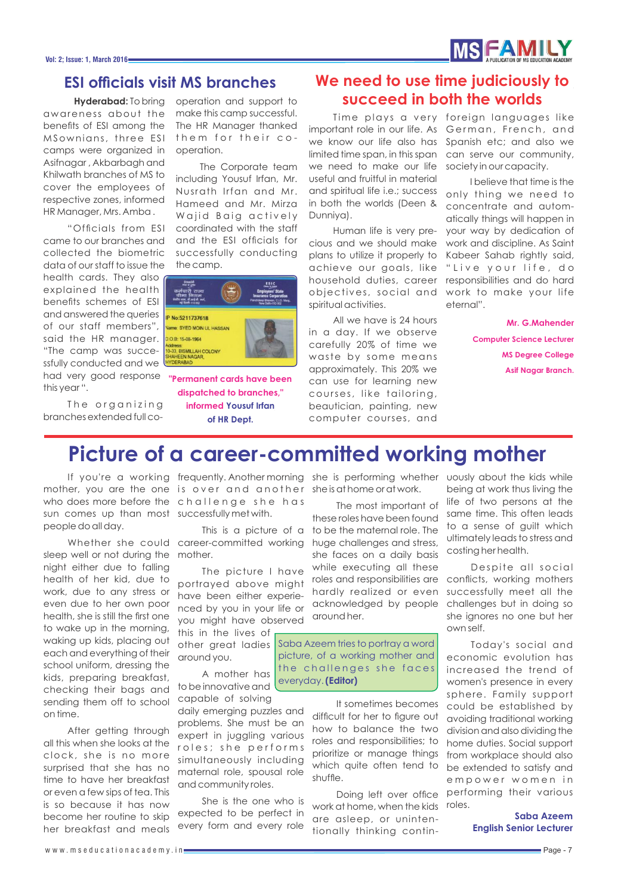# **MS FAMILY**

## **ESI officials visit MS branches**

awareness about the benefits of ESI among the MSownians, three ESI camps were organized in Asifnagar , Akbarbagh and Khilwath branches of MS to cover the employees of respective zones, informed HR Manager, Mrs. Amba .

"Officials from ESI came to our branches and collected the biometric data of our staff to issue the

health cards. They also explained the health benefits schemes of ESI and answered the queries of our staff members", said the HR manager. "The camp was successfully conducted and we had very good response this year ".

The organizing branches extended full co-

**Hyderabad:** To bring operation and support to make this camp successful. The HR Manager thanked them for their cooperation.

> The Corporate team including Yousuf Irfan, Mr. Nusrath Irfan and Mr. Hameed and Mr. Mirza Wajid Baig actively coordinated with the staff and the ESI officials for successfully conducting the camp.



**"Permanent cards have been dispatched to branches," informed Yousuf Irfan of HR Dept.**

## **We need to use time judiciously to succeed in both the worlds**

important role in our life. As German, French, and we know our life also has Spanish etc; and also we limited time span, in this span we need to make our life useful and fruitful in material and spiritual life i.e.; success in both the worlds (Deen & Dunniya).

Human life is very precious and we should make plans to utilize it properly to achieve our goals, like household duties, career objectives, social and spiritual activities.

All we have is 24 hours in a day. If we observe carefully 20% of time we waste by some means approximately. This 20% we can use for learning new courses, like tailoring, beautician, painting, new computer courses, and

Time plays a very foreign languages like can serve our community, society in our capacity.

> I believe that time is the only thing we need to concentrate and automatically things will happen in your way by dedication of work and discipline. As Saint Kabeer Sahab rightly said, " Live your life, do responsibilities and do hard work to make your life eternal".

> > **Mr. G.Mahender Computer Science Lecturer MS Degree College Asif Nagar Branch.**

## **Picture of a career-committed working mother**

sun comes up than most successfully met with. people do all day.

sleep well or not during the mother. night either due to falling health of her kid, due to work, due to any stress or even due to her own poor health, she is still the first one to wake up in the morning, waking up kids, placing out each and everything of their school uniform, dressing the kids, preparing breakfast, checking their bags and sending them off to school on time.

After getting through all this when she looks at the clock , she is no more surprised that she has no time to have her breakfast or even a few sips of tea. This is so because it has now become her routine to skip her breakfast and meals

If you're a working frequently. Anothermorning she is performing whether uously about the kids while mother, you are the one is over and another sheisathomeoratwork. who does more before the c h a l l e n g e s h e h a s

Whether she could career-committed working This is a picture of a

> The picture I have portrayed above might have been either experienced by you in your life or you might have observed

this in the lives of other great ladies around you. A mother has

to be innovative and capable of solving

daily emerging puzzles and problems. She must be an expert in juggling various roles; she performs simultaneously including maternal role, spousal role and community roles.

She is the one who is expected to be perfect in every form and every role

The most important of these roles have been found to be the maternal role. The huge challenges and stress, she faces on a daily basis while executing all these roles and responsibilities are hardly realized or even acknowledged by people around her.

Saba Azeem tries to portray a word picture, of a working mother and the challenges she faces everyday. **(Editor)**

> It sometimes becomes difficult for her to figure out how to balance the two roles and responsibilities; to prioritize or manage things which quite often tend to be extended to satisfy and shuffle.

work at home, when the kids are asleep, or unintentionally thinking contin-

being at work thus living the life of two persons at the same time. This often leads to a sense of guilt which ultimately leads to stress and costing her health.

Despite all social conflicts, working mothers successfully meet all the challenges but in doing so she ignores no one but her own self.

Doing left over office performing their various Today's social and economic evolution has increased the trend of women's presence in every sphere. Family support could be established by avoiding traditional working division and also dividing the home duties. Social support from workplace should also e m p o w e r w o m e n i n roles.

#### **Saba Azeem English Senior Lecturer**